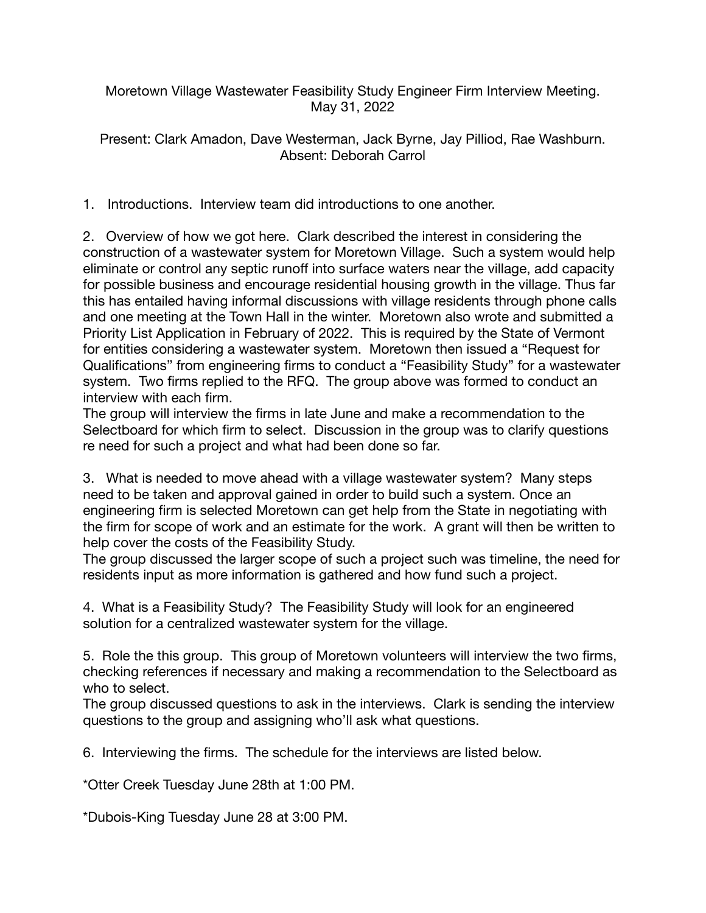Moretown Village Wastewater Feasibility Study Engineer Firm Interview Meeting. May 31, 2022

Present: Clark Amadon, Dave Westerman, Jack Byrne, Jay Pilliod, Rae Washburn. Absent: Deborah Carrol

1. Introductions. Interview team did introductions to one another.

2. Overview of how we got here. Clark described the interest in considering the construction of a wastewater system for Moretown Village. Such a system would help eliminate or control any septic runoff into surface waters near the village, add capacity for possible business and encourage residential housing growth in the village. Thus far this has entailed having informal discussions with village residents through phone calls and one meeting at the Town Hall in the winter. Moretown also wrote and submitted a Priority List Application in February of 2022. This is required by the State of Vermont for entities considering a wastewater system. Moretown then issued a "Request for Qualifications" from engineering firms to conduct a "Feasibility Study" for a wastewater system. Two firms replied to the RFQ. The group above was formed to conduct an interview with each firm.

The group will interview the firms in late June and make a recommendation to the Selectboard for which firm to select. Discussion in the group was to clarify questions re need for such a project and what had been done so far.

3. What is needed to move ahead with a village wastewater system? Many steps need to be taken and approval gained in order to build such a system. Once an engineering firm is selected Moretown can get help from the State in negotiating with the firm for scope of work and an estimate for the work. A grant will then be written to help cover the costs of the Feasibility Study.

The group discussed the larger scope of such a project such was timeline, the need for residents input as more information is gathered and how fund such a project.

4. What is a Feasibility Study? The Feasibility Study will look for an engineered solution for a centralized wastewater system for the village.

5. Role the this group. This group of Moretown volunteers will interview the two firms, checking references if necessary and making a recommendation to the Selectboard as who to select.

The group discussed questions to ask in the interviews. Clark is sending the interview questions to the group and assigning who'll ask what questions.

6. Interviewing the firms. The schedule for the interviews are listed below.

\*Otter Creek Tuesday June 28th at 1:00 PM.

\*Dubois-King Tuesday June 28 at 3:00 PM.